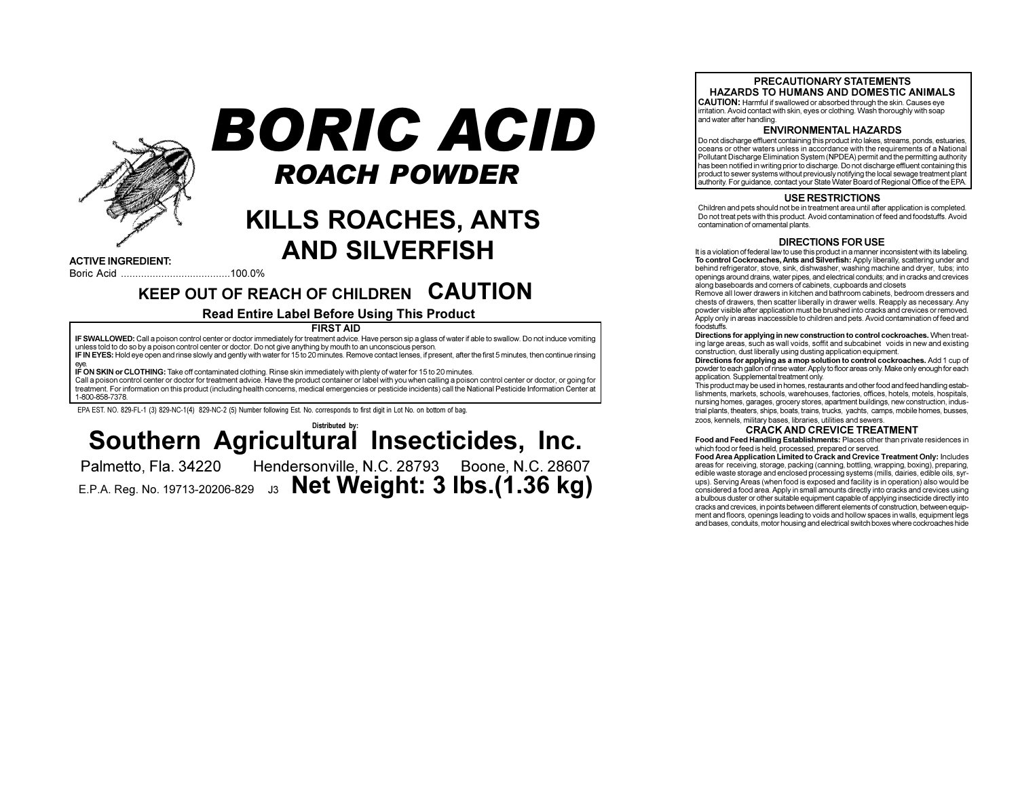

# BORIC ACID **ROACH POWDER**

# **KILLS ROACHES, ANTS AND SILVERFISH**

**ACTIVE INGREDIENT:** 

# KEEP OUT OF REACH OF CHILDREN CAUTION

### **Read Entire Label Before Using This Product**

**FIRST AID** 

IF SWALLOWED: Call a poison control center or doctor immediately for treatment advice. Have person sip a glass of water if able to swallow. Do not induce vomiting unless told to do so by a poison control center or doctor. Do not give anything by mouth to an unconscious person. IF IN EYES: Hold eye open and rinse slowly and gently with water for 15 to 20 minutes. Remove contact lenses, if present, after the first 5 minutes, then continue rinsing IF ON SKIN or CLOTHING: Take off contaminated clothing. Rinse skin immediately with plenty of water for 15 to 20 minutes Call a poison control center or doctor for treatment advice. Have the product container or label with you when calling a poison control center or doctor, or going for treatment. For information on this product (including health concerns, medical emergencies or pesticide incidents) call the National Pesticide Information Oenter at 1-800-858-7378

EPA EST. NO. 829-FL-1 (3) 829-NC-1(4) 829-NC-2 (5) Number following Est. No. corresponds to first digit in Lot No. on bottom of bag.

## Distributed by: Southern Agricultural Insecticides, Inc. Hendersonville, N.C. 28793 Boone, N.C. 28607

Palmetto, Fla. 34220

E.P.A. Reg. No. 19713-20206-829 J3 Net Weight: 3 lbs. (1.36 kg)

#### PRECAUTIONARY STATEMENTS HAZARDS TO HUMANS AND DOMESTIC ANIMALS

CAUTION: Harmful if swallowed or absorbed through the skin. Causes eye irritation. Avoid contact with skin, eyes or clothing. Wash thoroughly with soap and water after handling

#### **ENVIRONMENTAL HAZARDS**

Do not discharge effluent containing this product into lakes, streams, ponds, estuaries, oceans or other waters unless in accordance with the requirements of a National Pollutant Discharge Elimination System (NPDEA) permit and the permitting authority has been notified in writing prior to discharge. Do not discharge effluent containing this product to sewer systems without previously notifying the local sewage treatment plant authority. For guidance, contact your State Water Board of Regional Office of the EPA.

#### **USE RESTRICTIONS**

Children and pets should not be in treatment area until after application is completed. Do not treat pets with this product. Avoid contamination of feed and foodstuffs. Avoid contamination of ornamental plants

#### **DIRECTIONS FOR USE**

It is a violation of federal law to use this product in a manner inconsistent with its labeling. To control Cockroaches, Ants and Silverfish: Apply liberally, scattering under and behind refrigerator, stove, sink, dishwasher, washing machine and dryer, tubs; into openings around drains, water pipes, and electrical conduits; and in cracks and crevices along baseboards and corners of cabinets, cupboards and closets

Remove all lower drawers in kitchen and bathroom cabinets, bedroom dressers and chests of drawers, then scatter liberally in drawer wells. Reapply as necessary, Any powder visible after application must be brushed into cracks and crevices or removed. Apply only in areas inaccessible to children and pets. Avoid contamination of feed and foodstuffs.

Directions for applying in new construction to control cockroaches. When treating large areas, such as wall voids, soffit and subcabinet voids in new and existing construction, dust liberally using dusting application equipment.

Directions for applying as a mop solution to control cockroaches. Add 1 cup of powder to each gallon of rinse water. Apply to floor areas only. Make only enough for each application. Supplemental treatment only.

This product may be used in homes, restaurants and other food and feed handling establishments, markets, schools, warehouses, factories, offices, hotels, motels, hospitals, nursing homes, garages, grocery stores, apartment buildings, new construction, industrial plants, theaters, ships, boats, trains, trucks, yachts, camps, mobile homes, busses, zoos, kennels, military bases, libraries, utilities and sewers

#### **CRACK AND CREVICE TREATMENT**

Food and Feed Handling Establishments: Places other than private residences in which food or feed is held, processed, prepared or served.

Food Area Application Limited to Crack and Crevice Treatment Only: Includes areas for receiving, storage, packing (canning, bottling, wrapping, boxing), preparing, edible waste storage and enclosed processing systems (mills, dairies, edible oils, syrups). Serving Areas (when food is exposed and facility is in operation) also would be considered a food area. Apply in small amounts directly into cracks and crevices using a bulbous duster or other suitable equipment capable of applying insecticide directly into cracks and crevices, in points between different elements of construction, between equipment and floors, openings leading to voids and hollow spaces in walls, equipment legs and bases, conduits, motor housing and electrical switch boxes where cockroaches hide